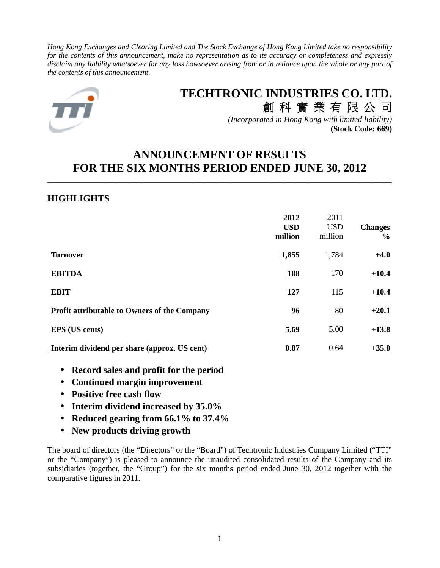*Hong Kong Exchanges and Clearing Limited and The Stock Exchange of Hong Kong Limited take no responsibility for the contents of this announcement, make no representation as to its accuracy or completeness and expressly disclaim any liability whatsoever for any loss howsoever arising from or in reliance upon the whole or any part of the contents of this announcement.* 



# **TECHTRONIC INDUSTRIES CO. LTD.**

創 科 實 業 有 限 公 司 *(Incorporated in Hong Kong with limited liability)* **(Stock Code: 669)**

# **ANNOUNCEMENT OF RESULTS FOR THE SIX MONTHS PERIOD ENDED JUNE 30, 2012**

\_\_\_\_\_\_\_\_\_\_\_\_\_\_\_\_\_\_\_\_\_\_\_\_\_\_\_\_\_\_\_\_\_\_\_\_\_\_\_\_\_\_\_\_\_\_\_\_\_\_\_\_\_\_\_\_\_\_\_\_\_\_\_\_\_\_\_\_\_\_\_\_\_\_\_\_\_\_\_\_\_\_\_\_\_

# **HIGHLIGHTS**

|                                                     | 2012<br><b>USD</b><br>million | 2011<br><b>USD</b><br>million | <b>Changes</b><br>$\frac{6}{9}$ |
|-----------------------------------------------------|-------------------------------|-------------------------------|---------------------------------|
| <b>Turnover</b>                                     | 1,855                         | 1,784                         | $+4.0$                          |
| <b>EBITDA</b>                                       | 188                           | 170                           | $+10.4$                         |
| <b>EBIT</b>                                         | 127                           | 115                           | $+10.4$                         |
| <b>Profit attributable to Owners of the Company</b> | 96                            | 80                            | $+20.1$                         |
| <b>EPS</b> (US cents)                               | 5.69                          | 5.00                          | $+13.8$                         |
| Interim dividend per share (approx. US cent)        | 0.87                          | 0.64                          | $+35.0$                         |

- **Record sales and profit for the period**
- **Continued margin improvement**
- **Positive free cash flow**
- **Interim dividend increased by 35.0%**
- **Reduced gearing from 66.1% to 37.4%**
- **New products driving growth**

The board of directors (the "Directors" or the "Board") of Techtronic Industries Company Limited ("TTI" or the "Company") is pleased to announce the unaudited consolidated results of the Company and its subsidiaries (together, the "Group") for the six months period ended June 30, 2012 together with the comparative figures in 2011.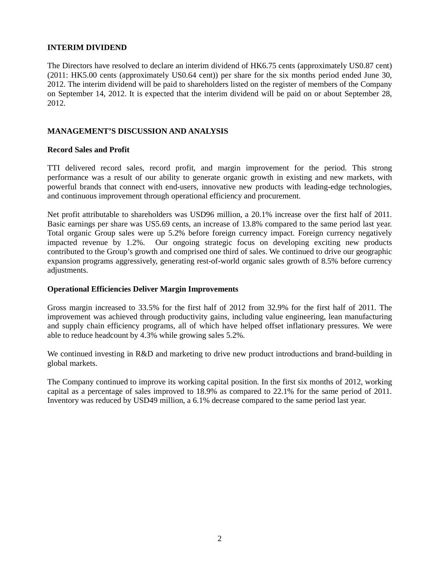## **INTERIM DIVIDEND**

The Directors have resolved to declare an interim dividend of HK6.75 cents (approximately US0.87 cent) (2011: HK5.00 cents (approximately US0.64 cent)) per share for the six months period ended June 30, 2012. The interim dividend will be paid to shareholders listed on the register of members of the Company on September 14, 2012. It is expected that the interim dividend will be paid on or about September 28, 2012.

## **MANAGEMENT'S DISCUSSION AND ANALYSIS**

#### **Record Sales and Profit**

TTI delivered record sales, record profit, and margin improvement for the period. This strong performance was a result of our ability to generate organic growth in existing and new markets, with powerful brands that connect with end-users, innovative new products with leading-edge technologies, and continuous improvement through operational efficiency and procurement.

Net profit attributable to shareholders was USD96 million, a 20.1% increase over the first half of 2011. Basic earnings per share was US5.69 cents, an increase of 13.8% compared to the same period last year. Total organic Group sales were up 5.2% before foreign currency impact. Foreign currency negatively impacted revenue by 1.2%. Our ongoing strategic focus on developing exciting new products contributed to the Group's growth and comprised one third of sales. We continued to drive our geographic expansion programs aggressively, generating rest-of-world organic sales growth of 8.5% before currency adjustments.

#### **Operational Efficiencies Deliver Margin Improvements**

Gross margin increased to 33.5% for the first half of 2012 from 32.9% for the first half of 2011. The improvement was achieved through productivity gains, including value engineering, lean manufacturing and supply chain efficiency programs, all of which have helped offset inflationary pressures. We were able to reduce headcount by 4.3% while growing sales 5.2%.

We continued investing in R&D and marketing to drive new product introductions and brand-building in global markets.

The Company continued to improve its working capital position. In the first six months of 2012, working capital as a percentage of sales improved to 18.9% as compared to 22.1% for the same period of 2011. Inventory was reduced by USD49 million, a 6.1% decrease compared to the same period last year.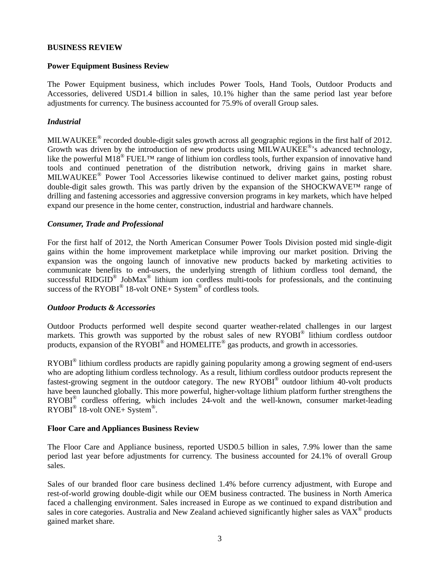#### **BUSINESS REVIEW**

## **Power Equipment Business Review**

The Power Equipment business, which includes Power Tools, Hand Tools, Outdoor Products and Accessories, delivered USD1.4 billion in sales, 10.1% higher than the same period last year before adjustments for currency. The business accounted for 75.9% of overall Group sales.

# *Industrial*

MILWAUKEE<sup>®</sup> recorded double-digit sales growth across all geographic regions in the first half of 2012. Growth was driven by the introduction of new products using MILWAUKEE®'s advanced technology, like the powerful M18<sup>®</sup> FUEL<sup>TM</sup> range of lithium ion cordless tools, further expansion of innovative hand tools and continued penetration of the distribution network, driving gains in market share. MILWAUKEE® Power Tool Accessories likewise continued to deliver market gains, posting robust double-digit sales growth. This was partly driven by the expansion of the SHOCKWAVE™ range of drilling and fastening accessories and aggressive conversion programs in key markets, which have helped expand our presence in the home center, construction, industrial and hardware channels.

#### *Consumer, Trade and Professional*

For the first half of 2012, the North American Consumer Power Tools Division posted mid single-digit gains within the home improvement marketplace while improving our market position. Driving the expansion was the ongoing launch of innovative new products backed by marketing activities to communicate benefits to end-users, the underlying strength of lithium cordless tool demand, the successful RIDGID<sup>®</sup> JobMax<sup>®</sup> lithium ion cordless multi-tools for professionals, and the continuing success of the  $RYOBI^@$  18-volt  $ONE+ System^@$  of cordless tools.

#### *Outdoor Products & Accessories*

Outdoor Products performed well despite second quarter weather-related challenges in our largest markets. This growth was supported by the robust sales of new RYOBI® lithium cordless outdoor products, expansion of the RYOBI<sup>®</sup> and HOMELITE<sup>®</sup> gas products, and growth in accessories.

RYOBI<sup>®</sup> lithium cordless products are rapidly gaining popularity among a growing segment of end-users who are adopting lithium cordless technology. As a result, lithium cordless outdoor products represent the fastest-growing segment in the outdoor category. The new RYOBI® outdoor lithium 40-volt products have been launched globally. This more powerful, higher-voltage lithium platform further strengthens the RYOBI<sup>®</sup> cordless offering, which includes 24-volt and the well-known, consumer market-leading  $\text{RVOBI}^{\circledast}$  18-volt ONE+ System<sup>®</sup>.

#### **Floor Care and Appliances Business Review**

The Floor Care and Appliance business, reported USD0.5 billion in sales, 7.9% lower than the same period last year before adjustments for currency. The business accounted for 24.1% of overall Group sales.

Sales of our branded floor care business declined 1.4% before currency adjustment, with Europe and rest-of-world growing double-digit while our OEM business contracted. The business in North America faced a challenging environment. Sales increased in Europe as we continued to expand distribution and sales in core categories. Australia and New Zealand achieved significantly higher sales as VAX<sup>®</sup> products gained market share.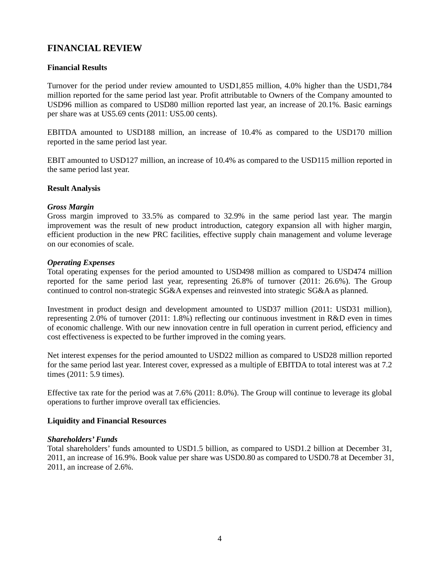# **FINANCIAL REVIEW**

# **Financial Results**

Turnover for the period under review amounted to USD1,855 million, 4.0% higher than the USD1,784 million reported for the same period last year. Profit attributable to Owners of the Company amounted to USD96 million as compared to USD80 million reported last year, an increase of 20.1%. Basic earnings per share was at US5.69 cents (2011: US5.00 cents).

EBITDA amounted to USD188 million, an increase of 10.4% as compared to the USD170 million reported in the same period last year.

EBIT amounted to USD127 million, an increase of 10.4% as compared to the USD115 million reported in the same period last year.

#### **Result Analysis**

#### *Gross Margin*

Gross margin improved to 33.5% as compared to 32.9% in the same period last year. The margin improvement was the result of new product introduction, category expansion all with higher margin, efficient production in the new PRC facilities, effective supply chain management and volume leverage on our economies of scale.

#### *Operating Expenses*

Total operating expenses for the period amounted to USD498 million as compared to USD474 million reported for the same period last year, representing 26.8% of turnover (2011: 26.6%). The Group continued to control non-strategic SG&A expenses and reinvested into strategic SG&A as planned.

Investment in product design and development amounted to USD37 million (2011: USD31 million), representing 2.0% of turnover (2011: 1.8%) reflecting our continuous investment in R&D even in times of economic challenge. With our new innovation centre in full operation in current period, efficiency and cost effectiveness is expected to be further improved in the coming years.

Net interest expenses for the period amounted to USD22 million as compared to USD28 million reported for the same period last year. Interest cover, expressed as a multiple of EBITDA to total interest was at 7.2 times (2011: 5.9 times).

Effective tax rate for the period was at 7.6% (2011: 8.0%). The Group will continue to leverage its global operations to further improve overall tax efficiencies.

#### **Liquidity and Financial Resources**

#### *Shareholders' Funds*

Total shareholders' funds amounted to USD1.5 billion, as compared to USD1.2 billion at December 31, 2011, an increase of 16.9%. Book value per share was USD0.80 as compared to USD0.78 at December 31, 2011, an increase of 2.6%.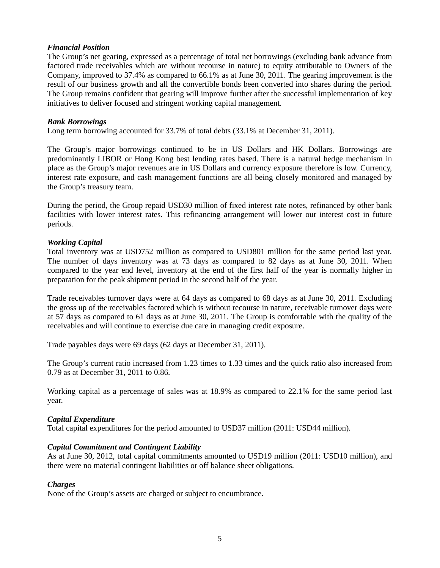## *Financial Position*

The Group's net gearing, expressed as a percentage of total net borrowings (excluding bank advance from factored trade receivables which are without recourse in nature) to equity attributable to Owners of the Company, improved to 37.4% as compared to 66.1% as at June 30, 2011. The gearing improvement is the result of our business growth and all the convertible bonds been converted into shares during the period. The Group remains confident that gearing will improve further after the successful implementation of key initiatives to deliver focused and stringent working capital management.

#### *Bank Borrowings*

Long term borrowing accounted for 33.7% of total debts (33.1% at December 31, 2011).

The Group's major borrowings continued to be in US Dollars and HK Dollars. Borrowings are predominantly LIBOR or Hong Kong best lending rates based. There is a natural hedge mechanism in place as the Group's major revenues are in US Dollars and currency exposure therefore is low. Currency, interest rate exposure, and cash management functions are all being closely monitored and managed by the Group's treasury team.

During the period, the Group repaid USD30 million of fixed interest rate notes, refinanced by other bank facilities with lower interest rates. This refinancing arrangement will lower our interest cost in future periods.

## *Working Capital*

Total inventory was at USD752 million as compared to USD801 million for the same period last year. The number of days inventory was at 73 days as compared to 82 days as at June 30, 2011. When compared to the year end level, inventory at the end of the first half of the year is normally higher in preparation for the peak shipment period in the second half of the year.

Trade receivables turnover days were at 64 days as compared to 68 days as at June 30, 2011. Excluding the gross up of the receivables factored which is without recourse in nature, receivable turnover days were at 57 days as compared to 61 days as at June 30, 2011. The Group is comfortable with the quality of the receivables and will continue to exercise due care in managing credit exposure.

Trade payables days were 69 days (62 days at December 31, 2011).

The Group's current ratio increased from 1.23 times to 1.33 times and the quick ratio also increased from 0.79 as at December 31, 2011 to 0.86.

Working capital as a percentage of sales was at 18.9% as compared to 22.1% for the same period last year.

#### *Capital Expenditure*

Total capital expenditures for the period amounted to USD37 million (2011: USD44 million).

#### *Capital Commitment and Contingent Liability*

As at June 30, 2012, total capital commitments amounted to USD19 million (2011: USD10 million), and there were no material contingent liabilities or off balance sheet obligations.

#### *Charges*

None of the Group's assets are charged or subject to encumbrance.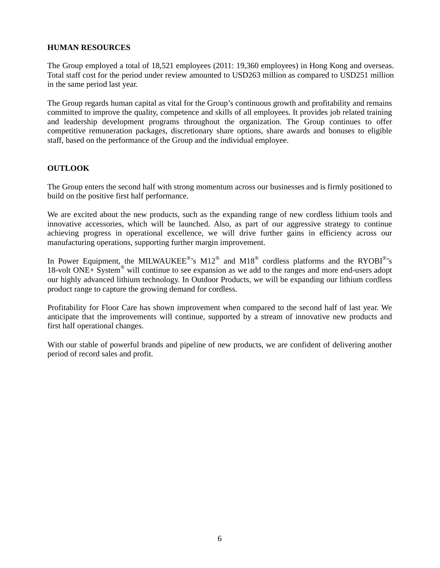# **HUMAN RESOURCES**

The Group employed a total of 18,521 employees (2011: 19,360 employees) in Hong Kong and overseas. Total staff cost for the period under review amounted to USD263 million as compared to USD251 million in the same period last year.

The Group regards human capital as vital for the Group's continuous growth and profitability and remains committed to improve the quality, competence and skills of all employees. It provides job related training and leadership development programs throughout the organization. The Group continues to offer competitive remuneration packages, discretionary share options, share awards and bonuses to eligible staff, based on the performance of the Group and the individual employee.

## **OUTLOOK**

The Group enters the second half with strong momentum across our businesses and is firmly positioned to build on the positive first half performance.

We are excited about the new products, such as the expanding range of new cordless lithium tools and innovative accessories, which will be launched. Also, as part of our aggressive strategy to continue achieving progress in operational excellence, we will drive further gains in efficiency across our manufacturing operations, supporting further margin improvement.

In Power Equipment, the MILWAUKEE®'s M12<sup>®</sup> and M18<sup>®</sup> cordless platforms and the RYOBI<sup>®</sup>'s 18-volt ONE+ System® will continue to see expansion as we add to the ranges and more end-users adopt our highly advanced lithium technology. In Outdoor Products, we will be expanding our lithium cordless product range to capture the growing demand for cordless.

Profitability for Floor Care has shown improvement when compared to the second half of last year. We anticipate that the improvements will continue, supported by a stream of innovative new products and first half operational changes.

With our stable of powerful brands and pipeline of new products, we are confident of delivering another period of record sales and profit.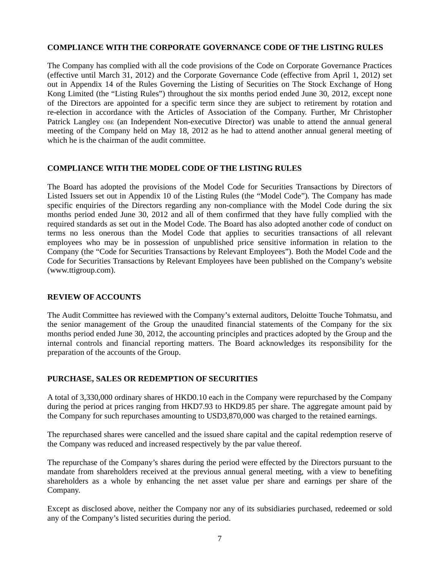## **COMPLIANCE WITH THE CORPORATE GOVERNANCE CODE OF THE LISTING RULES**

The Company has complied with all the code provisions of the Code on Corporate Governance Practices (effective until March 31, 2012) and the Corporate Governance Code (effective from April 1, 2012) set out in Appendix 14 of the Rules Governing the Listing of Securities on The Stock Exchange of Hong Kong Limited (the "Listing Rules") throughout the six months period ended June 30, 2012, except none of the Directors are appointed for a specific term since they are subject to retirement by rotation and re-election in accordance with the Articles of Association of the Company. Further, Mr Christopher Patrick Langley OBE (an Independent Non-executive Director) was unable to attend the annual general meeting of the Company held on May 18, 2012 as he had to attend another annual general meeting of which he is the chairman of the audit committee.

#### **COMPLIANCE WITH THE MODEL CODE OF THE LISTING RULES**

The Board has adopted the provisions of the Model Code for Securities Transactions by Directors of Listed Issuers set out in Appendix 10 of the Listing Rules (the "Model Code"). The Company has made specific enquiries of the Directors regarding any non-compliance with the Model Code during the six months period ended June 30, 2012 and all of them confirmed that they have fully complied with the required standards as set out in the Model Code. The Board has also adopted another code of conduct on terms no less onerous than the Model Code that applies to securities transactions of all relevant employees who may be in possession of unpublished price sensitive information in relation to the Company (the "Code for Securities Transactions by Relevant Employees"). Both the Model Code and the Code for Securities Transactions by Relevant Employees have been published on the Company's website (www.ttigroup.com).

#### **REVIEW OF ACCOUNTS**

The Audit Committee has reviewed with the Company's external auditors, Deloitte Touche Tohmatsu, and the senior management of the Group the unaudited financial statements of the Company for the six months period ended June 30, 2012, the accounting principles and practices adopted by the Group and the internal controls and financial reporting matters. The Board acknowledges its responsibility for the preparation of the accounts of the Group.

#### **PURCHASE, SALES OR REDEMPTION OF SECURITIES**

A total of 3,330,000 ordinary shares of HKD0.10 each in the Company were repurchased by the Company during the period at prices ranging from HKD7.93 to HKD9.85 per share. The aggregate amount paid by the Company for such repurchases amounting to USD3,870,000 was charged to the retained earnings.

The repurchased shares were cancelled and the issued share capital and the capital redemption reserve of the Company was reduced and increased respectively by the par value thereof.

The repurchase of the Company's shares during the period were effected by the Directors pursuant to the mandate from shareholders received at the previous annual general meeting, with a view to benefiting shareholders as a whole by enhancing the net asset value per share and earnings per share of the Company.

Except as disclosed above, neither the Company nor any of its subsidiaries purchased, redeemed or sold any of the Company's listed securities during the period.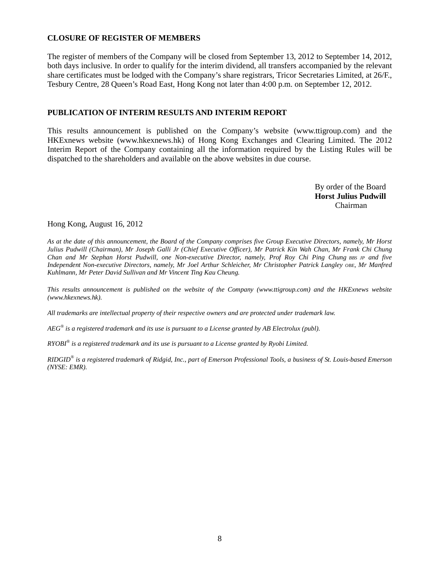#### **CLOSURE OF REGISTER OF MEMBERS**

The register of members of the Company will be closed from September 13, 2012 to September 14, 2012, both days inclusive. In order to qualify for the interim dividend, all transfers accompanied by the relevant share certificates must be lodged with the Company's share registrars, Tricor Secretaries Limited, at 26/F., Tesbury Centre, 28 Queen's Road East, Hong Kong not later than 4:00 p.m. on September 12, 2012.

## **PUBLICATION OF INTERIM RESULTS AND INTERIM REPORT**

This results announcement is published on the Company's website (www.ttigroup.com) and the HKExnews website (www.hkexnews.hk) of Hong Kong Exchanges and Clearing Limited. The 2012 Interim Report of the Company containing all the information required by the Listing Rules will be dispatched to the shareholders and available on the above websites in due course.

> By order of the Board **Horst Julius Pudwill**  Chairman

Hong Kong, August 16, 2012

*As at the date of this announcement, the Board of the Company comprises five Group Executive Directors, namely, Mr Horst Julius Pudwill (Chairman), Mr Joseph Galli Jr (Chief Executive Officer), Mr Patrick Kin Wah Chan, Mr Frank Chi Chung Chan and Mr Stephan Horst Pudwill, one Non-executive Director, namely, Prof Roy Chi Ping Chung BBS JP and five Independent Non-executive Directors, namely, Mr Joel Arthur Schleicher, Mr Christopher Patrick Langley OBE, Mr Manfred Kuhlmann, Mr Peter David Sullivan and Mr Vincent Ting Kau Cheung.* 

*This results announcement is published on the website of the Company (www.ttigroup.com) and the HKExnews website (www.hkexnews.hk).* 

*All trademarks are intellectual property of their respective owners and are protected under trademark law.* 

*AEG® is a registered trademark and its use is pursuant to a License granted by AB Electrolux (publ).* 

*RYOBI® is a registered trademark and its use is pursuant to a License granted by Ryobi Limited.* 

*RIDGID® is a registered trademark of Ridgid, Inc., part of Emerson Professional Tools, a business of St. Louis-based Emerson (NYSE: EMR).*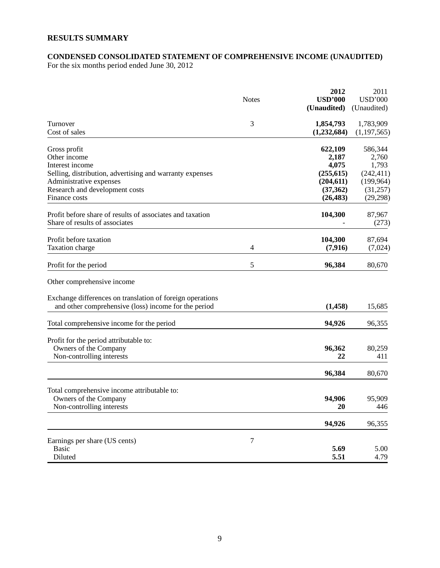# **RESULTS SUMMARY**

## **CONDENSED CONSOLIDATED STATEMENT OF COMPREHENSIVE INCOME (UNAUDITED)**

For the six months period ended June 30, 2012

|                                                                                                                                        | <b>Notes</b>     | 2012<br><b>USD'000</b><br>(Unaudited)              | 2011<br><b>USD'000</b><br>(Unaudited)             |
|----------------------------------------------------------------------------------------------------------------------------------------|------------------|----------------------------------------------------|---------------------------------------------------|
| Turnover<br>Cost of sales                                                                                                              | 3                | 1,854,793<br>(1,232,684)                           | 1,783,909<br>(1, 197, 565)                        |
| Gross profit<br>Other income<br>Interest income                                                                                        |                  | 622,109<br>2,187<br>4,075                          | 586,344<br>2,760<br>1,793                         |
| Selling, distribution, advertising and warranty expenses<br>Administrative expenses<br>Research and development costs<br>Finance costs |                  | (255, 615)<br>(204, 611)<br>(37, 362)<br>(26, 483) | (242, 411)<br>(199, 964)<br>(31,257)<br>(29, 298) |
| Profit before share of results of associates and taxation<br>Share of results of associates                                            |                  | 104,300                                            | 87,967<br>(273)                                   |
| Profit before taxation<br>Taxation charge                                                                                              | $\overline{4}$   | 104,300<br>(7, 916)                                | 87,694<br>(7,024)                                 |
| Profit for the period                                                                                                                  | 5                | 96,384                                             | 80,670                                            |
| Other comprehensive income                                                                                                             |                  |                                                    |                                                   |
| Exchange differences on translation of foreign operations<br>and other comprehensive (loss) income for the period                      |                  | (1, 458)                                           | 15,685                                            |
| Total comprehensive income for the period                                                                                              |                  | 94,926                                             | 96,355                                            |
| Profit for the period attributable to:<br>Owners of the Company<br>Non-controlling interests                                           |                  | 96,362<br>22                                       | 80,259<br>411                                     |
|                                                                                                                                        |                  | 96,384                                             | 80,670                                            |
| Total comprehensive income attributable to:<br>Owners of the Company<br>Non-controlling interests                                      |                  | 94,906<br>20                                       | 95,909<br>446                                     |
|                                                                                                                                        |                  | 94,926                                             | 96,355                                            |
| Earnings per share (US cents)<br><b>Basic</b><br>Diluted                                                                               | $\boldsymbol{7}$ | 5.69<br>5.51                                       | 5.00<br>4.79                                      |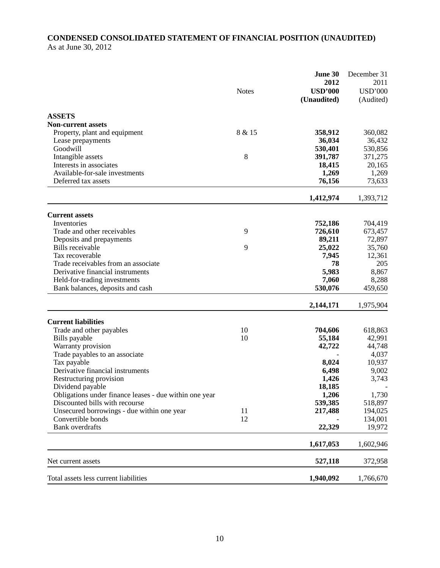# **CONDENSED CONSOLIDATED STATEMENT OF FINANCIAL POSITION (UNAUDITED)**  As at June 30, 2012

|                                                        |              | June 30<br>2012   | December 31<br>2011 |
|--------------------------------------------------------|--------------|-------------------|---------------------|
|                                                        | <b>Notes</b> | <b>USD'000</b>    | <b>USD'000</b>      |
|                                                        |              | (Unaudited)       | (Audited)           |
| <b>ASSETS</b>                                          |              |                   |                     |
| <b>Non-current assets</b>                              |              |                   |                     |
| Property, plant and equipment                          | 8 & 15       | 358,912           | 360,082             |
| Lease prepayments                                      |              | 36,034            | 36,432              |
| Goodwill                                               |              | 530,401           | 530,856             |
| Intangible assets                                      | 8            | 391,787           | 371,275             |
| Interests in associates                                |              | 18,415            | 20,165              |
| Available-for-sale investments                         |              | 1,269             | 1,269               |
| Deferred tax assets                                    |              | 76,156            | 73,633              |
|                                                        |              | 1,412,974         | 1,393,712           |
|                                                        |              |                   |                     |
| <b>Current assets</b>                                  |              |                   |                     |
| Inventories                                            | 9            | 752,186           | 704,419             |
| Trade and other receivables                            |              | 726,610<br>89,211 | 673,457<br>72,897   |
| Deposits and prepayments<br>Bills receivable           | 9            | 25,022            | 35,760              |
| Tax recoverable                                        |              | 7,945             | 12,361              |
| Trade receivables from an associate                    |              | 78                | 205                 |
| Derivative financial instruments                       |              | 5,983             | 8,867               |
| Held-for-trading investments                           |              | 7,060             | 8,288               |
| Bank balances, deposits and cash                       |              | 530,076           | 459,650             |
|                                                        |              | 2,144,171         | 1,975,904           |
| <b>Current liabilities</b>                             |              |                   |                     |
| Trade and other payables                               | 10           | 704,606           | 618,863             |
| Bills payable                                          | 10           | 55,184            | 42,991              |
| Warranty provision                                     |              | 42,722            | 44,748              |
| Trade payables to an associate                         |              |                   | 4,037               |
| Tax payable                                            |              | 8,024             | 10,937              |
| Derivative financial instruments                       |              | 6,498             | 9,002               |
| Restructuring provision                                |              | 1,426             | 3,743               |
| Dividend payable                                       |              | 18,185            |                     |
| Obligations under finance leases - due within one year |              | 1,206             | 1,730               |
| Discounted bills with recourse                         |              | 539,385           | 518,897             |
| Unsecured borrowings - due within one year             | 11           | 217,488           | 194,025             |
| Convertible bonds                                      | 12           |                   | 134,001             |
| <b>Bank</b> overdrafts                                 |              | 22,329            | 19,972              |
|                                                        |              | 1,617,053         | 1,602,946           |
| Net current assets                                     |              | 527,118           | 372,958             |
| Total assets less current liabilities                  |              | 1,940,092         | 1,766,670           |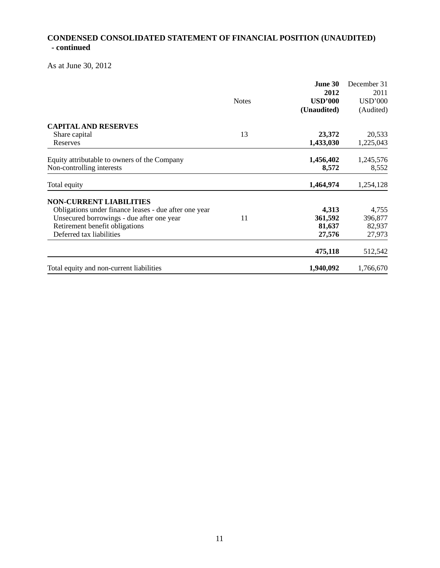# **CONDENSED CONSOLIDATED STATEMENT OF FINANCIAL POSITION (UNAUDITED) - continued**

As at June 30, 2012

|                                                                           |              | June 30            | December 31        |
|---------------------------------------------------------------------------|--------------|--------------------|--------------------|
|                                                                           |              | 2012               | 2011               |
|                                                                           | <b>Notes</b> | <b>USD'000</b>     | <b>USD'000</b>     |
|                                                                           |              | (Unaudited)        | (Audited)          |
| <b>CAPITAL AND RESERVES</b>                                               |              |                    |                    |
| Share capital                                                             | 13           | 23,372             | 20,533             |
| Reserves                                                                  |              | 1,433,030          | 1,225,043          |
| Equity attributable to owners of the Company<br>Non-controlling interests |              | 1,456,402<br>8,572 | 1,245,576<br>8,552 |
| Total equity                                                              |              | 1,464,974          | 1,254,128          |
| <b>NON-CURRENT LIABILITIES</b>                                            |              |                    |                    |
| Obligations under finance leases - due after one year                     |              | 4,313              | 4,755              |
| Unsecured borrowings - due after one year                                 | 11           | 361,592            | 396,877            |
| Retirement benefit obligations                                            |              | 81,637             | 82,937             |
| Deferred tax liabilities                                                  |              | 27,576             | 27,973             |
|                                                                           |              | 475,118            | 512,542            |
| Total equity and non-current liabilities                                  |              | 1,940,092          | 1,766,670          |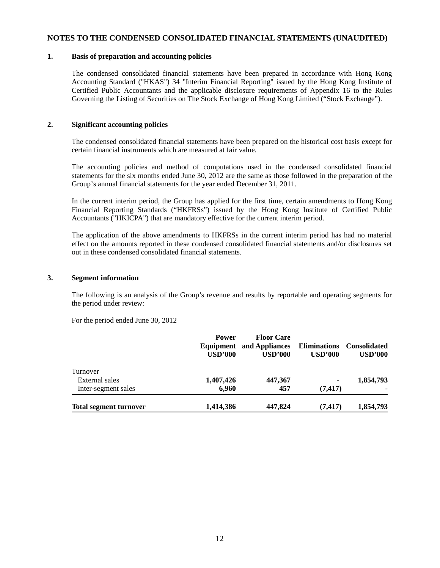#### **NOTES TO THE CONDENSED CONSOLIDATED FINANCIAL STATEMENTS (UNAUDITED)**

#### **1. Basis of preparation and accounting policies**

The condensed consolidated financial statements have been prepared in accordance with Hong Kong Accounting Standard ("HKAS") 34 "Interim Financial Reporting" issued by the Hong Kong Institute of Certified Public Accountants and the applicable disclosure requirements of Appendix 16 to the Rules Governing the Listing of Securities on The Stock Exchange of Hong Kong Limited ("Stock Exchange").

#### **2. Significant accounting policies**

The condensed consolidated financial statements have been prepared on the historical cost basis except for certain financial instruments which are measured at fair value.

The accounting policies and method of computations used in the condensed consolidated financial statements for the six months ended June 30, 2012 are the same as those followed in the preparation of the Group's annual financial statements for the year ended December 31, 2011.

In the current interim period, the Group has applied for the first time, certain amendments to Hong Kong Financial Reporting Standards ("HKFRSs") issued by the Hong Kong Institute of Certified Public Accountants ("HKICPA") that are mandatory effective for the current interim period.

The application of the above amendments to HKFRSs in the current interim period has had no material effect on the amounts reported in these condensed consolidated financial statements and/or disclosures set out in these condensed consolidated financial statements.

#### **3. Segment information**

The following is an analysis of the Group's revenue and results by reportable and operating segments for the period under review:

For the period ended June 30, 2012

|                               | <b>Power</b><br><b>USD'000</b> | <b>Floor Care</b><br><b>Equipment</b> and Appliances<br><b>USD'000</b> | <b>Eliminations</b><br>USD'000 | <b>Consolidated</b><br>USD'000 |
|-------------------------------|--------------------------------|------------------------------------------------------------------------|--------------------------------|--------------------------------|
| Turnover                      |                                |                                                                        |                                |                                |
| External sales                | 1,407,426                      | 447,367                                                                | $\overline{\phantom{0}}$       | 1,854,793                      |
| Inter-segment sales           | 6,960                          | 457                                                                    | (7, 417)                       |                                |
| <b>Total segment turnover</b> | 1,414,386                      | 447,824                                                                | (7, 417)                       | 1,854,793                      |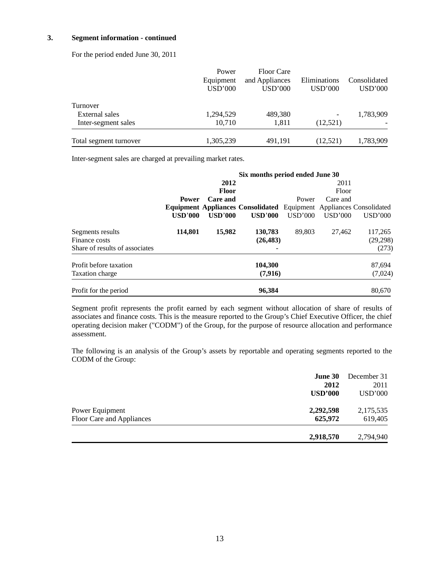#### **3. Segment information - continued**

For the period ended June 30, 2011

|                        | Power                | <b>Floor Care</b>         |                         |                         |
|------------------------|----------------------|---------------------------|-------------------------|-------------------------|
|                        | Equipment<br>USD'000 | and Appliances<br>USD'000 | Eliminations<br>USD'000 | Consolidated<br>USD'000 |
| Turnover               |                      |                           |                         |                         |
| External sales         | 1,294,529            | 489,380                   | -                       | 1,783,909               |
| Inter-segment sales    | 10,710               | 1,811                     | (12,521)                |                         |
| Total segment turnover | 1,305,239            | 491,191                   | (12, 521)               | 1,783,909               |

Inter-segment sales are charged at prevailing market rates.

|                                | Six months period ended June 30 |                |                                                                            |         |          |          |
|--------------------------------|---------------------------------|----------------|----------------------------------------------------------------------------|---------|----------|----------|
|                                |                                 | 2012           |                                                                            |         | 2011     |          |
|                                |                                 | <b>Floor</b>   |                                                                            |         | Floor    |          |
|                                | <b>Power</b>                    | Care and       |                                                                            | Power   | Care and |          |
|                                |                                 |                | <b>Equipment Appliances Consolidated</b> Equipment Appliances Consolidated |         |          |          |
|                                | <b>USD'000</b>                  | <b>USD'000</b> | <b>USD'000</b>                                                             | USD'000 | USD'000  | USD'000  |
| Segments results               | 114,801                         | 15,982         | 130,783                                                                    | 89,803  | 27,462   | 117,265  |
| Finance costs                  |                                 |                | (26, 483)                                                                  |         |          | (29,298) |
| Share of results of associates |                                 |                |                                                                            |         |          | (273)    |
| Profit before taxation         |                                 |                | 104,300                                                                    |         |          | 87,694   |
| Taxation charge                |                                 |                | (7,916)                                                                    |         |          | (7,024)  |
| Profit for the period          |                                 |                | 96,384                                                                     |         |          | 80,670   |

Segment profit represents the profit earned by each segment without allocation of share of results of associates and finance costs. This is the measure reported to the Group's Chief Executive Officer, the chief operating decision maker ("CODM") of the Group, for the purpose of resource allocation and performance assessment.

The following is an analysis of the Group's assets by reportable and operating segments reported to the CODM of the Group:

|                           | <b>June 30</b><br>2012 | December 31<br>2011 |
|---------------------------|------------------------|---------------------|
|                           | <b>USD'000</b>         | USD'000             |
| Power Equipment           | 2,292,598              | 2,175,535           |
| Floor Care and Appliances | 625,972                | 619,405             |
|                           | 2,918,570              | 2,794,940           |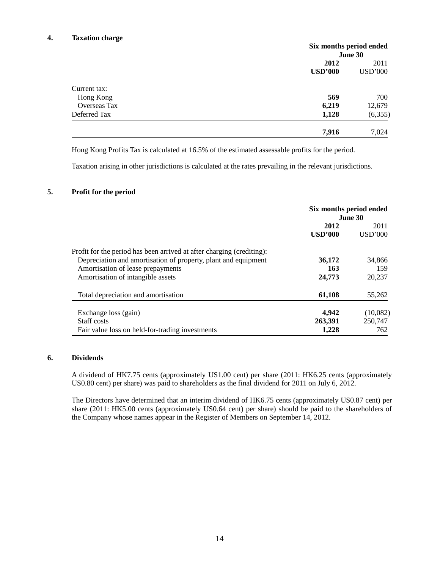#### **4. Taxation charge**

|                     | Six months period ended |                |
|---------------------|-------------------------|----------------|
|                     |                         | June 30        |
|                     | 2012                    | 2011           |
|                     | <b>USD'000</b>          | <b>USD'000</b> |
| Current tax:        |                         |                |
| Hong Kong           | 569                     | 700            |
| <b>Overseas Tax</b> | 6,219                   | 12,679         |
| Deferred Tax        | 1,128                   | (6,355)        |
|                     | 7,916                   | 7,024          |

Hong Kong Profits Tax is calculated at 16.5% of the estimated assessable profits for the period.

Taxation arising in other jurisdictions is calculated at the rates prevailing in the relevant jurisdictions.

#### **5. Profit for the period**

|                                                                       | Six months period ended<br><b>June 30</b> |                 |
|-----------------------------------------------------------------------|-------------------------------------------|-----------------|
|                                                                       | 2012<br>USD'000                           | 2011<br>USD'000 |
| Profit for the period has been arrived at after charging (crediting): |                                           |                 |
| Depreciation and amortisation of property, plant and equipment        | 36,172                                    | 34,866          |
| Amortisation of lease prepayments                                     | 163                                       | 159             |
| Amortisation of intangible assets                                     | 24,773                                    | 20,237          |
| Total depreciation and amortisation                                   | 61,108                                    | 55,262          |
| Exchange loss (gain)                                                  | 4,942                                     | (10,082)        |
| Staff costs                                                           | 263,391                                   | 250,747         |
| Fair value loss on held-for-trading investments                       | 1,228                                     | 762             |

#### **6. Dividends**

A dividend of HK7.75 cents (approximately US1.00 cent) per share (2011: HK6.25 cents (approximately US0.80 cent) per share) was paid to shareholders as the final dividend for 2011 on July 6, 2012.

The Directors have determined that an interim dividend of HK6.75 cents (approximately US0.87 cent) per share (2011: HK5.00 cents (approximately US0.64 cent) per share) should be paid to the shareholders of the Company whose names appear in the Register of Members on September 14, 2012.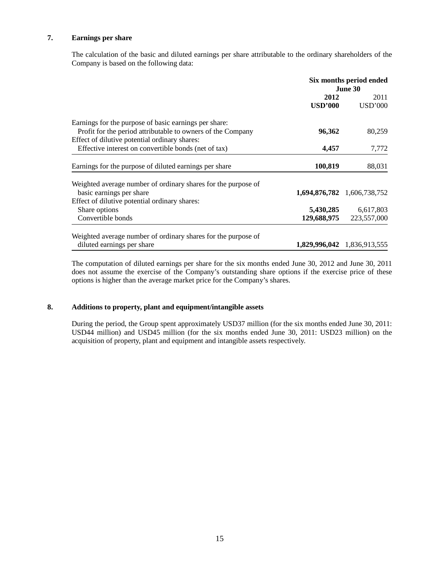## **7. Earnings per share**

The calculation of the basic and diluted earnings per share attributable to the ordinary shareholders of the Company is based on the following data:

|                                                                                                                      | Six months period ended<br>June 30 |                             |
|----------------------------------------------------------------------------------------------------------------------|------------------------------------|-----------------------------|
|                                                                                                                      | 2012<br><b>USD'000</b>             | 2011<br><b>USD'000</b>      |
| Earnings for the purpose of basic earnings per share:<br>Profit for the period attributable to owners of the Company | 96,362                             | 80,259                      |
| Effect of dilutive potential ordinary shares:<br>Effective interest on convertible bonds (net of tax)                | 4,457                              | 7,772                       |
| Earnings for the purpose of diluted earnings per share                                                               | 100,819                            | 88,031                      |
| Weighted average number of ordinary shares for the purpose of<br>basic earnings per share                            |                                    | 1,694,876,782 1,606,738,752 |
| Effect of dilutive potential ordinary shares:<br>Share options<br>Convertible bonds                                  | 5,430,285<br>129,688,975           | 6,617,803<br>223,557,000    |
| Weighted average number of ordinary shares for the purpose of<br>diluted earnings per share                          |                                    | 1,829,996,042 1,836,913,555 |

The computation of diluted earnings per share for the six months ended June 30, 2012 and June 30, 2011 does not assume the exercise of the Company's outstanding share options if the exercise price of these options is higher than the average market price for the Company's shares.

#### **8. Additions to property, plant and equipment/intangible assets**

During the period, the Group spent approximately USD37 million (for the six months ended June 30, 2011: USD44 million) and USD45 million (for the six months ended June 30, 2011: USD23 million) on the acquisition of property, plant and equipment and intangible assets respectively.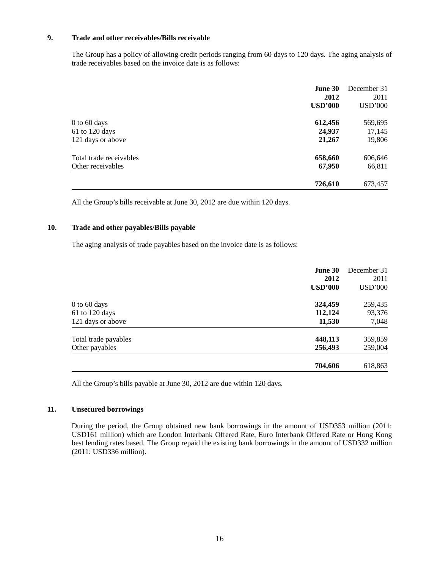## **9. Trade and other receivables/Bills receivable**

The Group has a policy of allowing credit periods ranging from 60 days to 120 days. The aging analysis of trade receivables based on the invoice date is as follows:

|                         | June 30<br>2012<br><b>USD'000</b> | December 31<br>2011<br><b>USD'000</b> |
|-------------------------|-----------------------------------|---------------------------------------|
| 0 to 60 days            | 612,456                           | 569,695                               |
| 61 to 120 days          | 24,937                            | 17,145                                |
| 121 days or above       | 21,267                            | 19,806                                |
| Total trade receivables | 658,660                           | 606,646                               |
| Other receivables       | 67,950                            | 66,811                                |
|                         | 726,610                           | 673,457                               |

All the Group's bills receivable at June 30, 2012 are due within 120 days.

#### **10. Trade and other payables/Bills payable**

The aging analysis of trade payables based on the invoice date is as follows:

|                                        | June 30<br>2012<br><b>USD'000</b> | December 31<br>2011<br><b>USD'000</b> |
|----------------------------------------|-----------------------------------|---------------------------------------|
| $0$ to 60 days                         | 324,459                           | 259,435                               |
| $61$ to 120 days<br>121 days or above  | 112,124<br>11,530                 | 93,376<br>7,048                       |
| Total trade payables<br>Other payables | 448,113<br>256,493                | 359,859<br>259,004                    |
|                                        | 704,606                           | 618,863                               |

All the Group's bills payable at June 30, 2012 are due within 120 days.

#### **11. Unsecured borrowings**

During the period, the Group obtained new bank borrowings in the amount of USD353 million (2011: USD161 million) which are London Interbank Offered Rate, Euro Interbank Offered Rate or Hong Kong best lending rates based. The Group repaid the existing bank borrowings in the amount of USD332 million (2011: USD336 million).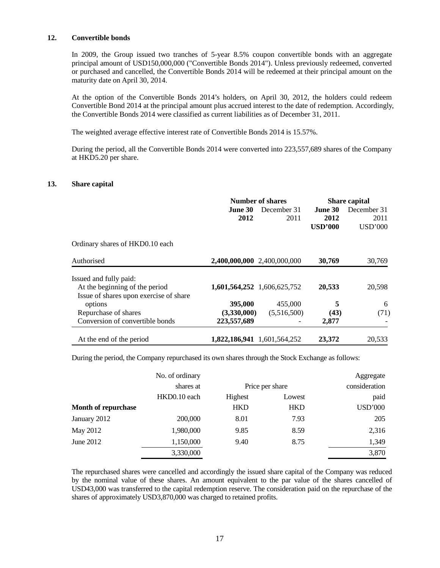#### **12. Convertible bonds**

In 2009, the Group issued two tranches of 5-year 8.5% coupon convertible bonds with an aggregate principal amount of USD150,000,000 ("Convertible Bonds 2014"). Unless previously redeemed, converted or purchased and cancelled, the Convertible Bonds 2014 will be redeemed at their principal amount on the maturity date on April 30, 2014.

At the option of the Convertible Bonds 2014's holders, on April 30, 2012, the holders could redeem Convertible Bond 2014 at the principal amount plus accrued interest to the date of redemption. Accordingly, the Convertible Bonds 2014 were classified as current liabilities as of December 31, 2011.

The weighted average effective interest rate of Convertible Bonds 2014 is 15.57%.

During the period, all the Convertible Bonds 2014 were converted into 223,557,689 shares of the Company at HKD5.20 per share.

#### **13. Share capital**

|                                        | Number of shares            |             | <b>Share capital</b> |                |
|----------------------------------------|-----------------------------|-------------|----------------------|----------------|
|                                        | June 30                     | December 31 | <b>June 30</b>       | December 31    |
|                                        | 2012                        | 2011        | 2012                 | 2011           |
|                                        |                             |             | <b>USD'000</b>       | <b>USD'000</b> |
| Ordinary shares of HKD0.10 each        |                             |             |                      |                |
| Authorised                             | 2,400,000,000 2,400,000,000 |             | 30,769               | 30,769         |
| Issued and fully paid:                 |                             |             |                      |                |
| At the beginning of the period         | 1,601,564,252 1,606,625,752 |             | 20,533               | 20,598         |
| Issue of shares upon exercise of share |                             |             |                      |                |
| options                                | 395,000                     | 455,000     | 5                    | 6              |
| Repurchase of shares                   | (3,330,000)                 | (5,516,500) | (43)                 | (71)           |
| Conversion of convertible bonds        | 223,557,689                 |             | 2,877                |                |
| At the end of the period               | 1,822,186,941 1,601,564,252 |             | 23,372               | 20,533         |

During the period, the Company repurchased its own shares through the Stock Exchange as follows:

|                     | No. of ordinary |                 |            | Aggregate      |
|---------------------|-----------------|-----------------|------------|----------------|
|                     | shares at       | Price per share |            | consideration  |
|                     | HKD0.10 each    | Highest         | Lowest     | paid           |
| Month of repurchase |                 | <b>HKD</b>      | <b>HKD</b> | <b>USD'000</b> |
| January 2012        | 200,000         | 8.01            | 7.93       | 205            |
| May 2012            | 1,980,000       | 9.85            | 8.59       | 2,316          |
| June 2012           | 1,150,000       | 9.40            | 8.75       | 1,349          |
|                     | 3,330,000       |                 |            | 3,870          |

The repurchased shares were cancelled and accordingly the issued share capital of the Company was reduced by the nominal value of these shares. An amount equivalent to the par value of the shares cancelled of USD43,000 was transferred to the capital redemption reserve. The consideration paid on the repurchase of the shares of approximately USD3,870,000 was charged to retained profits.